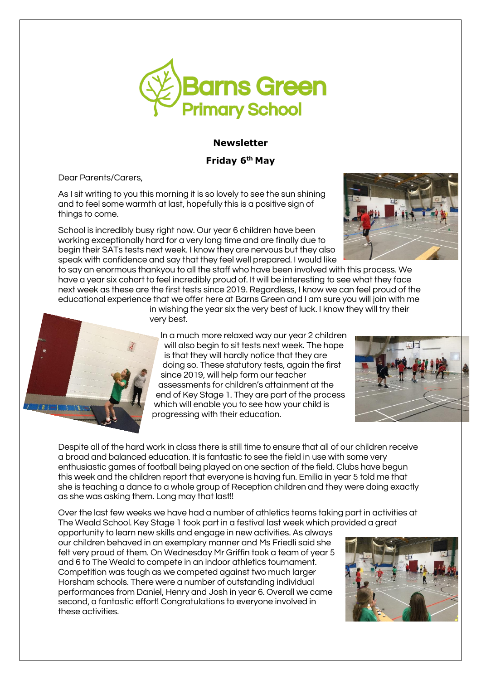

# **Newsletter**

## **Friday 6 th May**

Dear Parents/Carers,

As I sit writing to you this morning it is so lovely to see the sun shining and to feel some warmth at last, hopefully this is a positive sign of things to come.

School is incredibly busy right now. Our year 6 children have been working exceptionally hard for a very long time and are finally due to begin their SATs tests next week. I know they are nervous but they also speak with confidence and say that they feel well prepared. I would like

to say an enormous thankyou to all the staff who have been involved with this process. We have a year six cohort to feel incredibly proud of. It will be interesting to see what they face next week as these are the first tests since 2019. Regardless, I know we can feel proud of the educational experience that we offer here at Barns Green and I am sure you will join with me

in wishing the year six the very best of luck. I know they will try their very best. In a much more relaxed way our year 2 children

will also begin to sit tests next week. The hope is that they will hardly notice that they are doing so. These statutory tests, again the first since 2019, will help form our teacher assessments for children's attainment at the end of Key Stage 1. They are part of the process which will enable you to see how your child is progressing with their education.

Despite all of the hard work in class there is still time to ensure that all of our children receive a broad and balanced education. It is fantastic to see the field in use with some very enthusiastic games of football being played on one section of the field. Clubs have begun this week and the children report that everyone is having fun. Emilia in year 5 told me that she is teaching a dance to a whole group of Reception children and they were doing exactly as she was asking them. Long may that last!!

Over the last few weeks we have had a number of athletics teams taking part in activities at The Weald School. Key Stage 1 took part in a festival last week which provided a great

opportunity to learn new skills and engage in new activities. As always our children behaved in an exemplary manner and Ms Friedli said she felt very proud of them. On Wednesday Mr Griffin took a team of year 5 and 6 to The Weald to compete in an indoor athletics tournament. Competition was tough as we competed against two much larger Horsham schools. There were a number of outstanding individual performances from Daniel, Henry and Josh in year 6. Overall we came second, a fantastic effort! Congratulations to everyone involved in these activities.





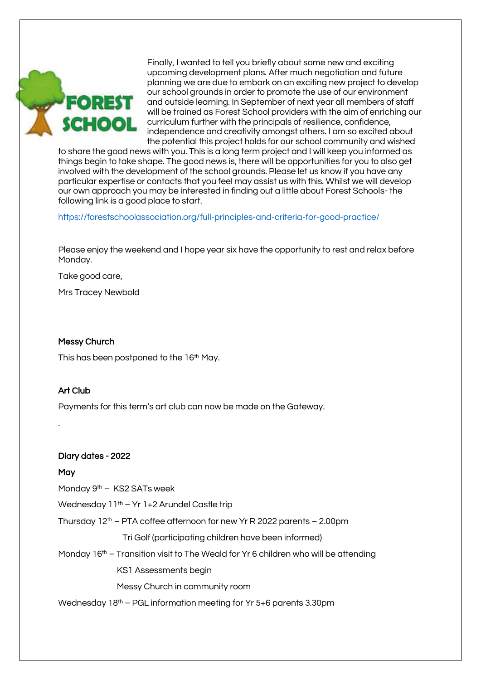

Finally, I wanted to tell you briefly about some new and exciting upcoming development plans. After much negotiation and future planning we are due to embark on an exciting new project to develop our school grounds in order to promote the use of our environment and outside learning. In September of next year all members of staff will be trained as Forest School providers with the aim of enriching our curriculum further with the principals of resilience, confidence, independence and creativity amongst others. I am so excited about the potential this project holds for our school community and wished

to share the good news with you. This is a long term project and I will keep you informed as things begin to take shape. The good news is, there will be opportunities for you to also get involved with the development of the school grounds. Please let us know if you have any particular expertise or contacts that you feel may assist us with this. Whilst we will develop our own approach you may be interested in finding out a little about Forest Schools- the following link is a good place to start.

<https://forestschoolassociation.org/full-principles-and-criteria-for-good-practice/>

Please enjoy the weekend and I hope year six have the opportunity to rest and relax before Monday.

Take good care,

Mrs Tracey Newbold

#### Messy Church

This has been postponed to the 16<sup>th</sup> May.

## Art Club

Payments for this term's art club can now be made on the Gateway.

#### Diary dates - 2022

## **May**

.

Monday 9<sup>th</sup> – KS2 SATs week

Wednesday 11<sup>th</sup> – Yr 1+2 Arundel Castle trip

Thursday  $12<sup>th</sup>$  – PTA coffee afternoon for new Yr R 2022 parents – 2.00pm

Tri Golf (participating children have been informed)

Monday  $16<sup>th</sup>$  – Transition visit to The Weald for Yr 6 children who will be attending

KS1 Assessments begin

Messy Church in community room

Wednesday  $18<sup>th</sup>$  – PGL information meeting for Yr 5+6 parents 3.30pm